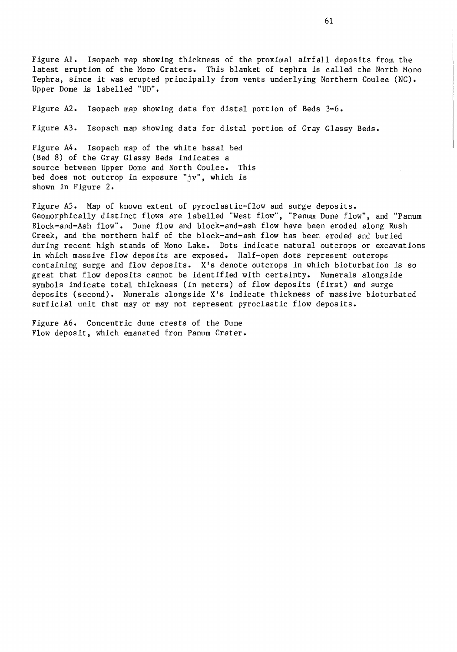Figure Al. Isopach map showing thickness of the proximal airfall deposits from the latest eruption of the Mono Craters. This blanket of tephra is called the North Mono Tephra, since it was erupted principally from vents underlying Northern Coulee (NC). Upper Dome is labelled "UD".

Figure A2. Isopach map showing data for distal portion of Beds 3-6.

Figure A3. Isopach map showing data for distal portion of Gray Glassy Beds.

Figure A4. Isopach map of the white basal bed (Bed 8) of the Gray Glassy Beds indicates a source between Upper Dome and North Coulee. This bed does not outcrop in exposure "jv", which is shown in Figure 2.

Figure A5. Map of known extent of pyroclastic-flow and surge deposits. Geomorphically distinct flows are labelled "West flow", "Panum Dune flow", and "Panum Block-and-Ash flow". Dune flow and block-and-ash flow have been eroded along Rush Creek, and the northern half of the block-and-ash flow has been eroded and buried during recent high stands of Mono Lake. Dots indicate natural outcrops or excavations in which massive flow deposits are exposed. Half-open dots represent outcrops containing surge and flow deposits. X's denote outcrops in which bioturbation is so great that flow deposits cannot be identified with certainty. Numerals alongside symbols indicate total thickness (in meters) of flow deposits (first) and surge deposits (second). Numerals alongside X's indicate thickness of massive bioturbated surficial unit that may or may not represent pyroclastic flow deposits.

Figure A6. Concentric dune crests of the Dune Flow deposit, which emanated from Panum Crater.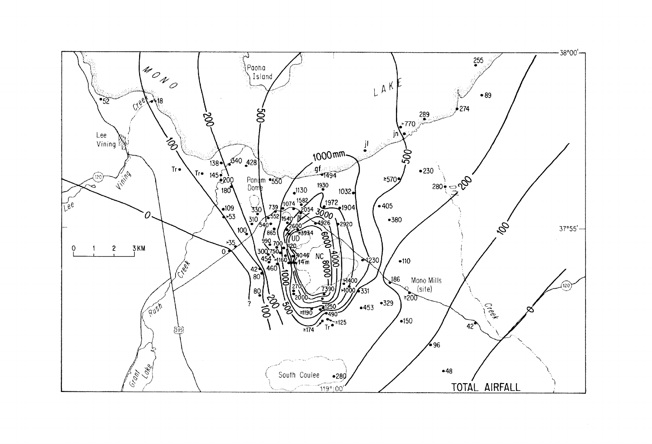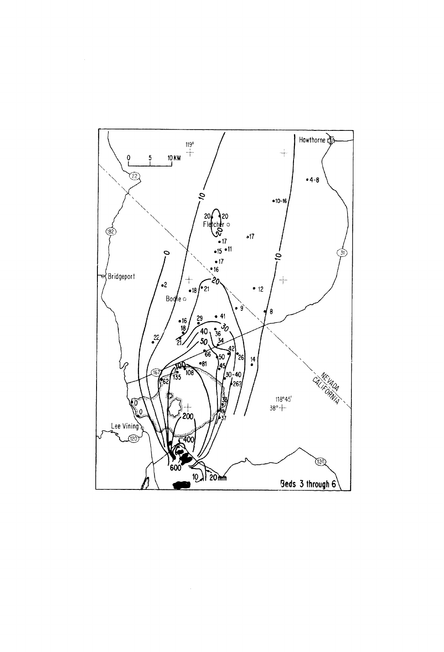

 $\sim$   $\sim$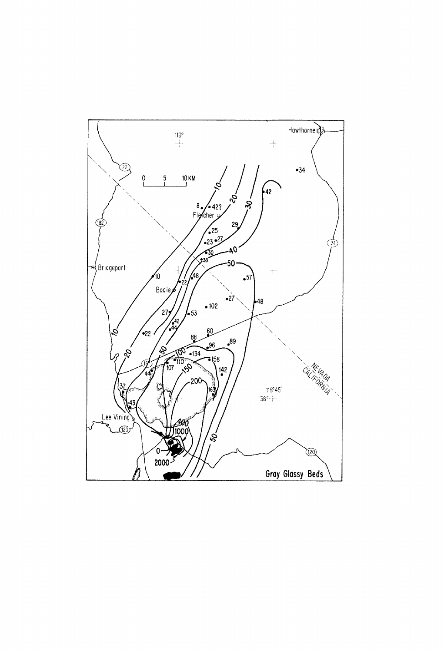

 $\hat{\boldsymbol{\beta}}$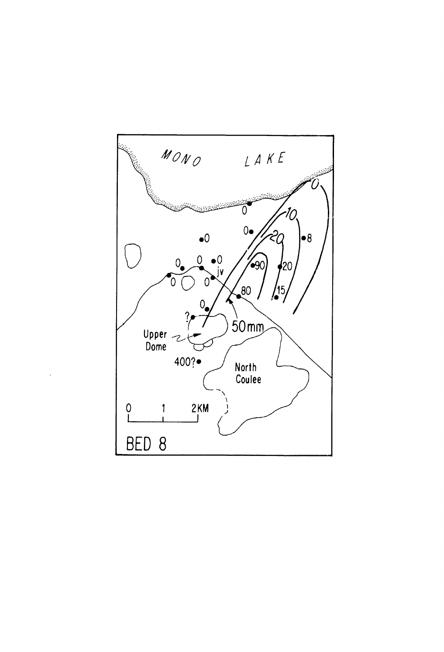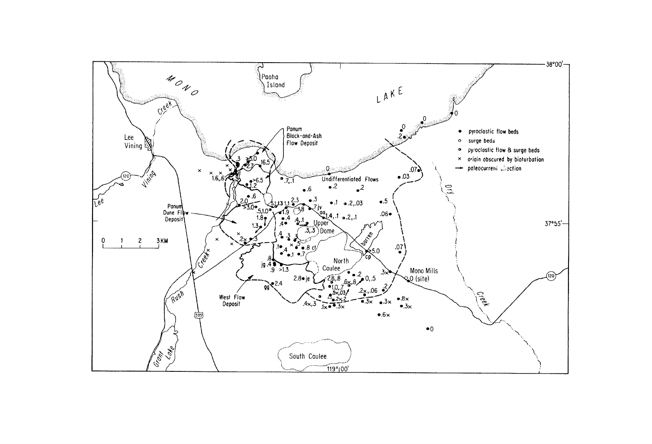